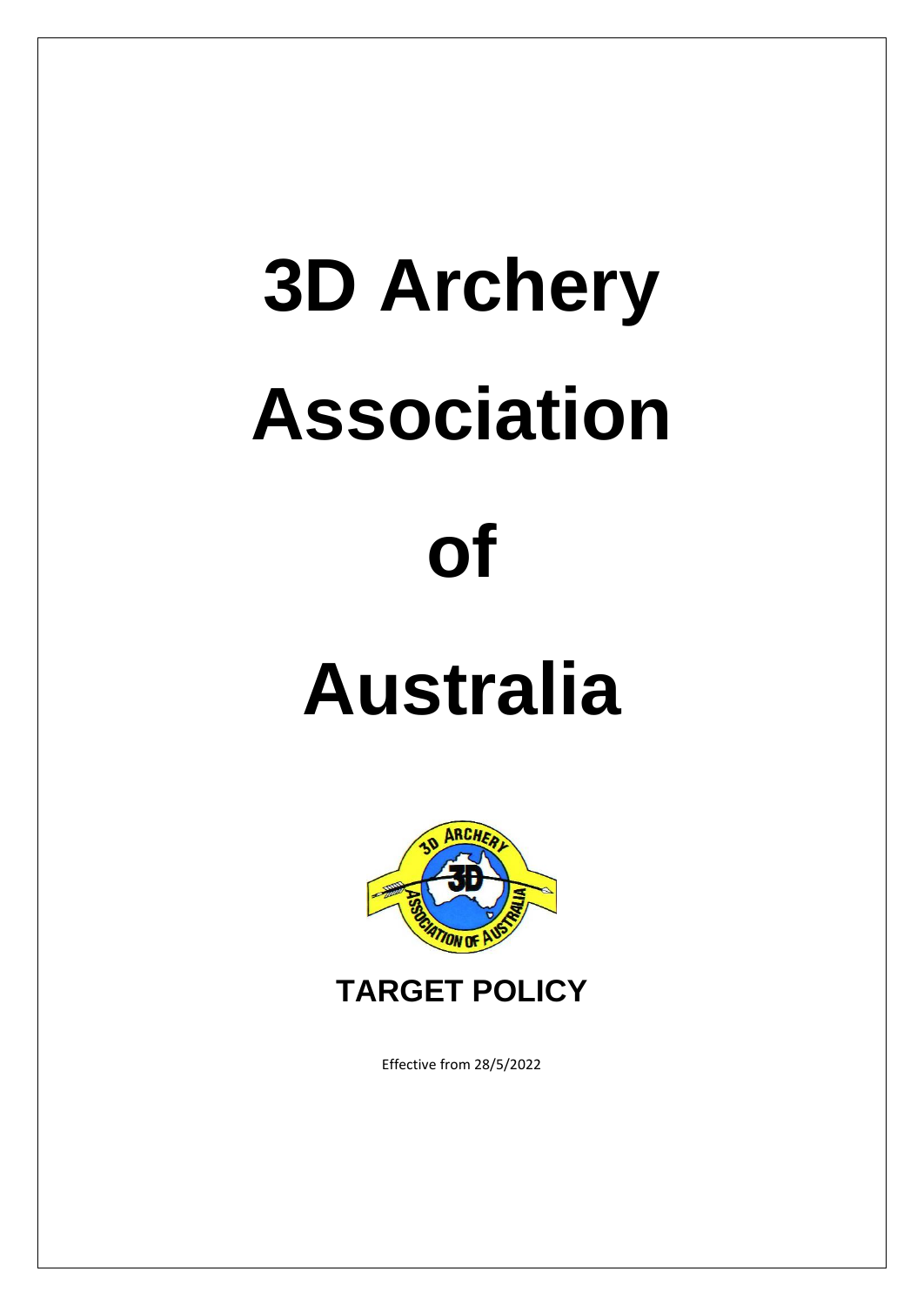# **3D Archery Association**

# **of**

# **Australia**





Effective from 28/5/2022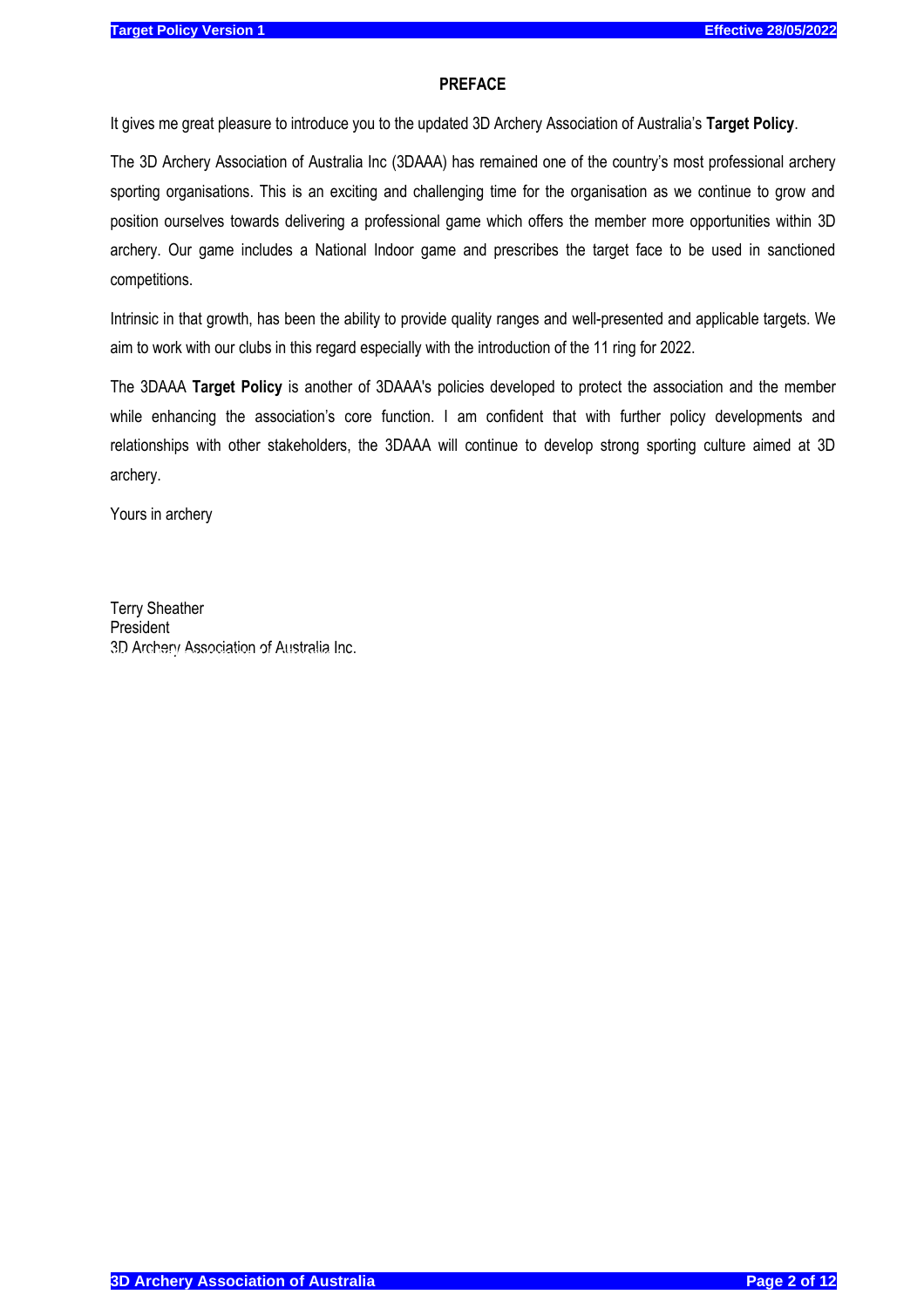#### **PREFACE**

It gives me great pleasure to introduce you to the updated 3D Archery Association of Australia's **Target Policy**.

The 3D Archery Association of Australia Inc (3DAAA) has remained one of the country's most professional archery sporting organisations. This is an exciting and challenging time for the organisation as we continue to grow and position ourselves towards delivering a professional game which offers the member more opportunities within 3D archery. Our game includes a National Indoor game and prescribes the target face to be used in sanctioned competitions.

Intrinsic in that growth, has been the ability to provide quality ranges and well-presented and applicable targets. We aim to work with our clubs in this regard especially with the introduction of the 11 ring for 2022.

The 3DAAA **Target Policy** is another of 3DAAA's policies developed to protect the association and the member while enhancing the association's core function. I am confident that with further policy developments and relationships with other stakeholders, the 3DAAA will continue to develop strong sporting culture aimed at 3D archery.

Yours in archery

Terry Sheather President 3D Archery Association of Australia Inc.

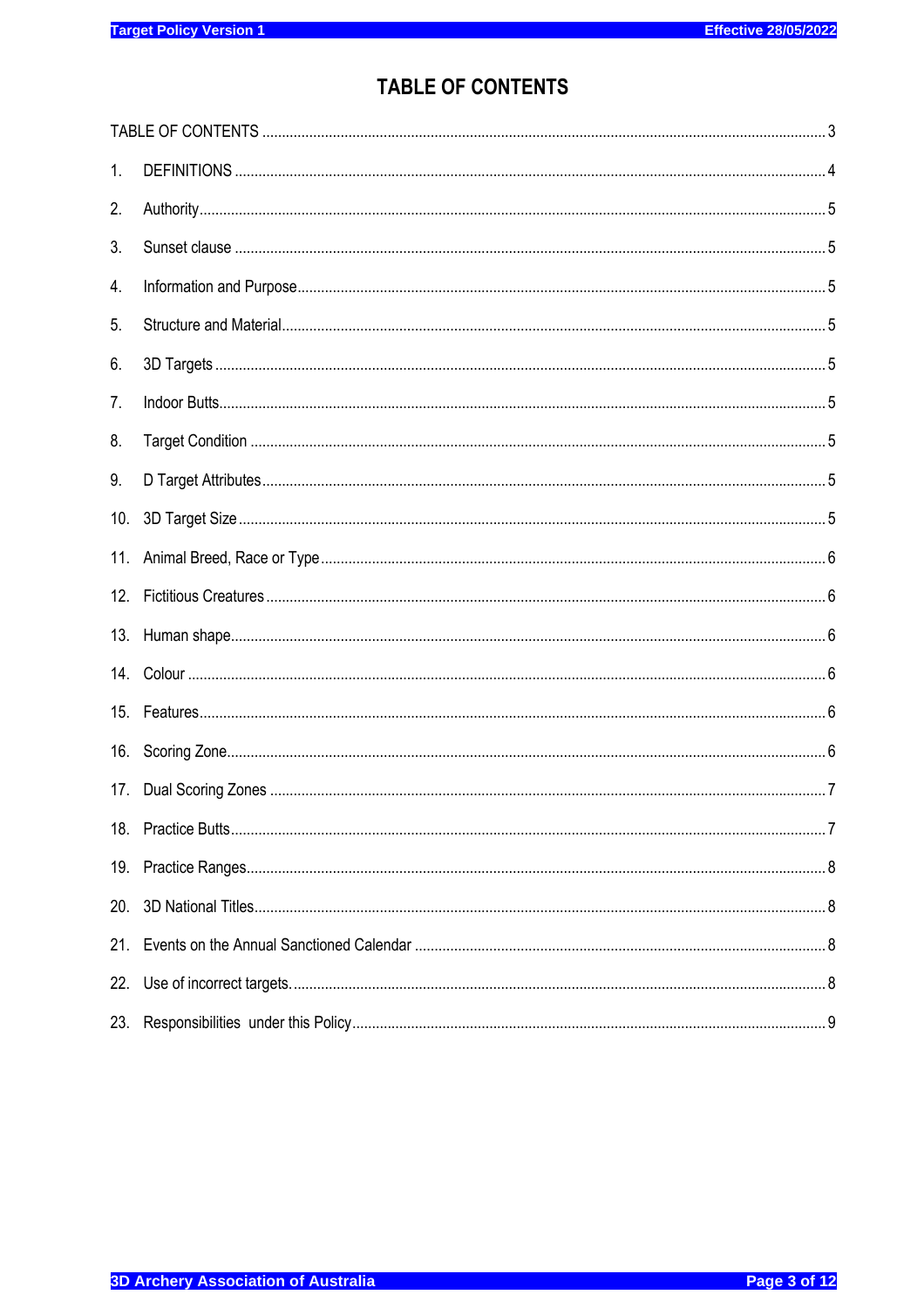# **TABLE OF CONTENTS**

<span id="page-2-0"></span>

| 1.  |                |  |  |  |
|-----|----------------|--|--|--|
| 2.  |                |  |  |  |
| 3.  |                |  |  |  |
| 4.  |                |  |  |  |
| 5.  |                |  |  |  |
| 6.  |                |  |  |  |
| 7.  |                |  |  |  |
| 8.  |                |  |  |  |
| 9.  |                |  |  |  |
| 10. |                |  |  |  |
| 11. |                |  |  |  |
| 12. |                |  |  |  |
| 13. |                |  |  |  |
|     |                |  |  |  |
| 15. | $Features. 66$ |  |  |  |
| 16. |                |  |  |  |
| 17. |                |  |  |  |
|     |                |  |  |  |
| 19. |                |  |  |  |
| 20. |                |  |  |  |
| 21. |                |  |  |  |
| 22. |                |  |  |  |
| 23. |                |  |  |  |
|     |                |  |  |  |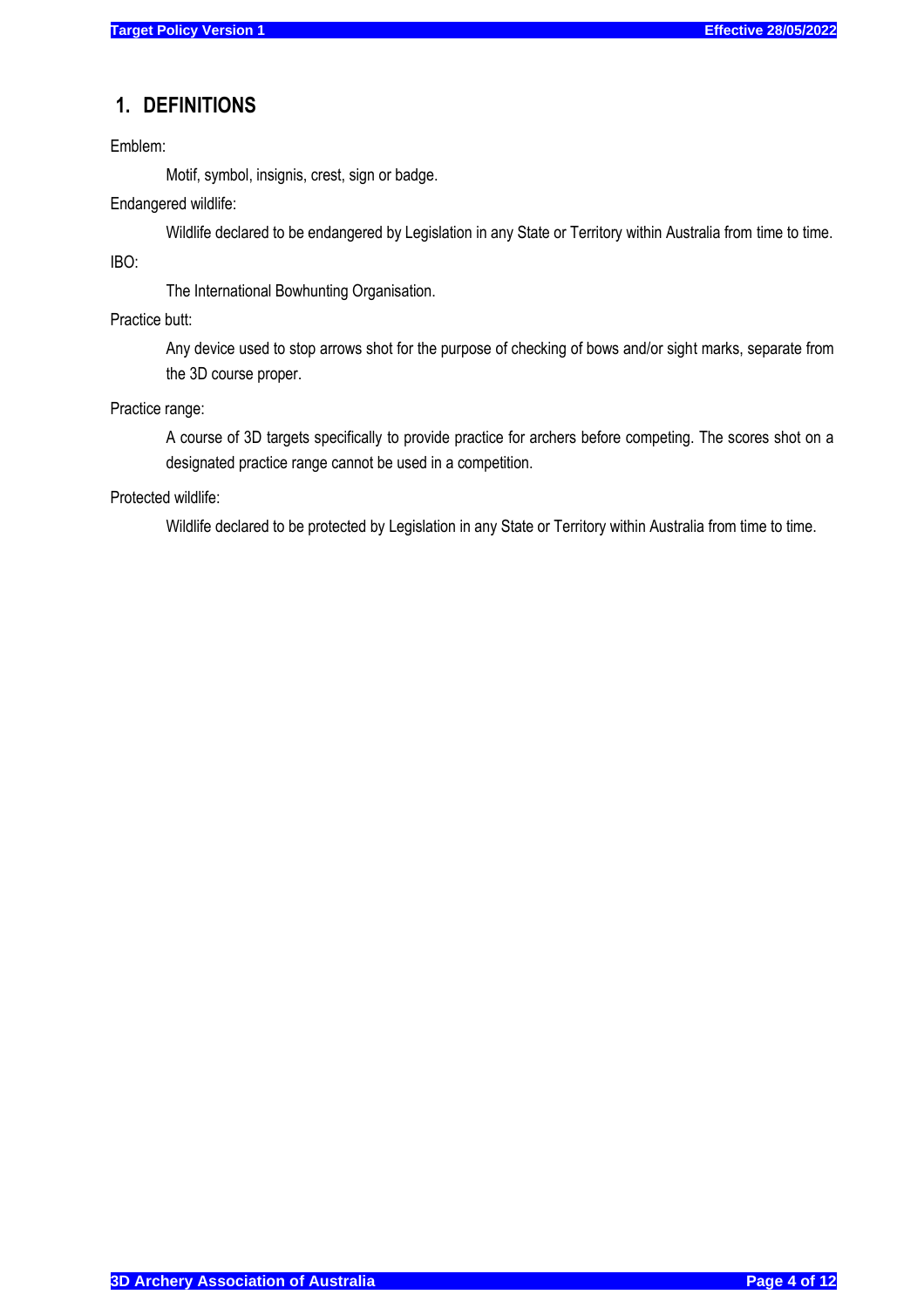# <span id="page-3-0"></span>**1. DEFINITIONS**

Emblem:

Motif, symbol, insignis, crest, sign or badge.

Endangered wildlife:

Wildlife declared to be endangered by Legislation in any State or Territory within Australia from time to time.

IBO:

The International Bowhunting Organisation.

Practice butt:

Any device used to stop arrows shot for the purpose of checking of bows and/or sight marks, separate from the 3D course proper.

Practice range:

A course of 3D targets specifically to provide practice for archers before competing. The scores shot on a designated practice range cannot be used in a competition.

Protected wildlife:

Wildlife declared to be protected by Legislation in any State or Territory within Australia from time to time.

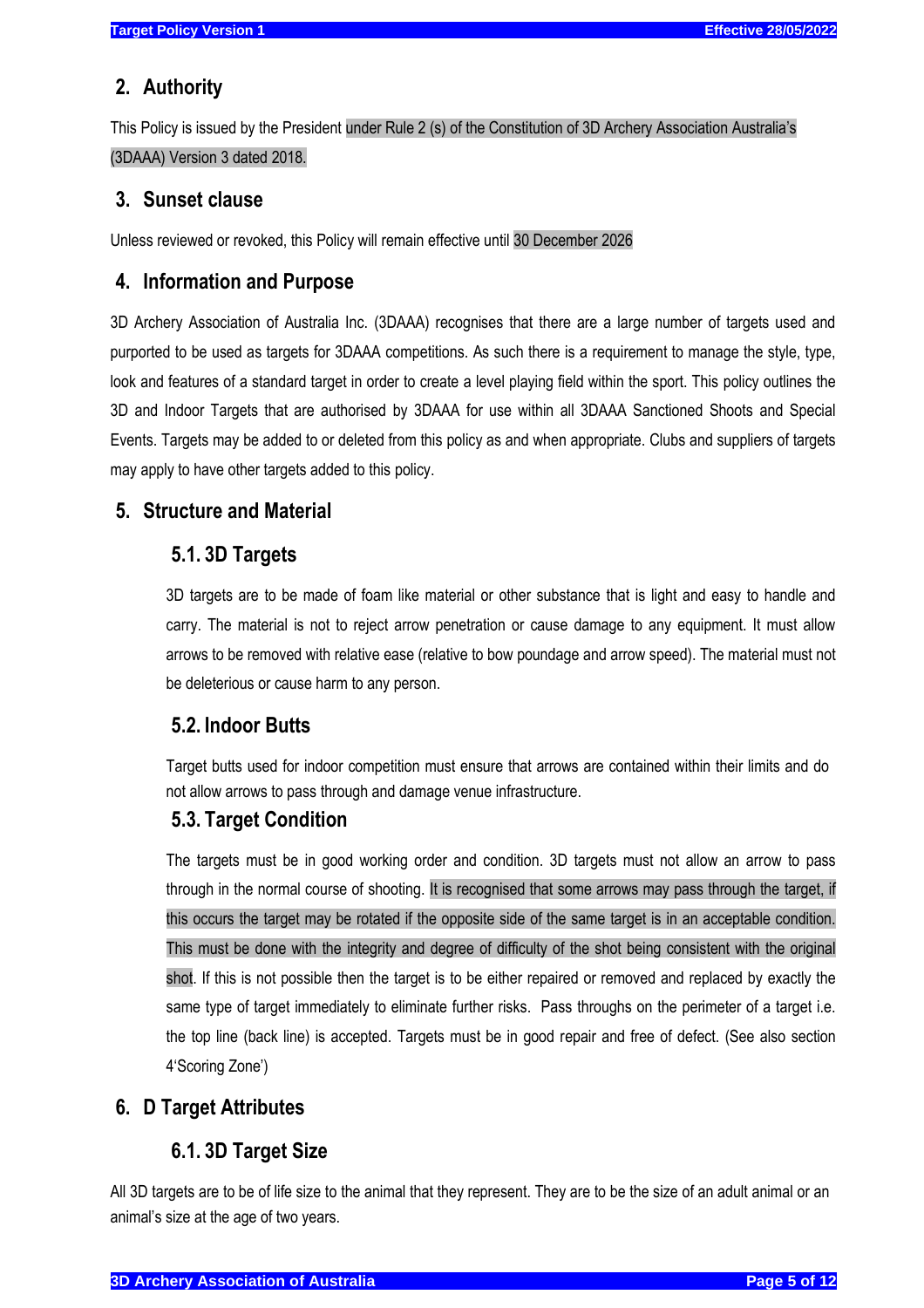# <span id="page-4-0"></span>**2. Authority**

<span id="page-4-1"></span>This Policy is issued by the President under Rule 2 (s) of the Constitution of 3D Archery Association Australia's (3DAAA) Version 3 dated 2018.

# **3. Sunset clause**

Unless reviewed or revoked, this Policy will remain effective until 30 December 2026

# <span id="page-4-2"></span>**4. Information and Purpose**

3D Archery Association of Australia Inc. (3DAAA) recognises that there are a large number of targets used and purported to be used as targets for 3DAAA competitions. As such there is a requirement to manage the style, type, look and features of a standard target in order to create a level playing field within the sport. This policy outlines the 3D and Indoor Targets that are authorised by 3DAAA for use within all 3DAAA Sanctioned Shoots and Special Events. Targets may be added to or deleted from this policy as and when appropriate. Clubs and suppliers of targets may apply to have other targets added to this policy.

# <span id="page-4-4"></span><span id="page-4-3"></span>**5. Structure and Material**

# **5.1. 3D Targets**

3D targets are to be made of foam like material or other substance that is light and easy to handle and carry. The material is not to reject arrow penetration or cause damage to any equipment. It must allow arrows to be removed with relative ease (relative to bow poundage and arrow speed). The material must not be deleterious or cause harm to any person.

# <span id="page-4-5"></span>**5.2. Indoor Butts**

Target butts used for indoor competition must ensure that arrows are contained within their limits and do not allow arrows to pass through and damage venue infrastructure.

# <span id="page-4-6"></span>**5.3. Target Condition**

The targets must be in good working order and condition. 3D targets must not allow an arrow to pass through in the normal course of shooting. It is recognised that some arrows may pass through the target, if this occurs the target may be rotated if the opposite side of the same target is in an acceptable condition. This must be done with the integrity and degree of difficulty of the shot being consistent with the original shot. If this is not possible then the target is to be either repaired or removed and replaced by exactly the same type of target immediately to eliminate further risks. Pass throughs on the perimeter of a target i.e. the top line (back line) is accepted. Targets must be in good repair and free of defect. (See also section 4'Scoring Zone')

# <span id="page-4-8"></span><span id="page-4-7"></span>**6. D Target Attributes**

# **6.1. 3D Target Size**

All 3D targets are to be of life size to the animal that they represent. They are to be the size of an adult animal or an animal's size at the age of two years.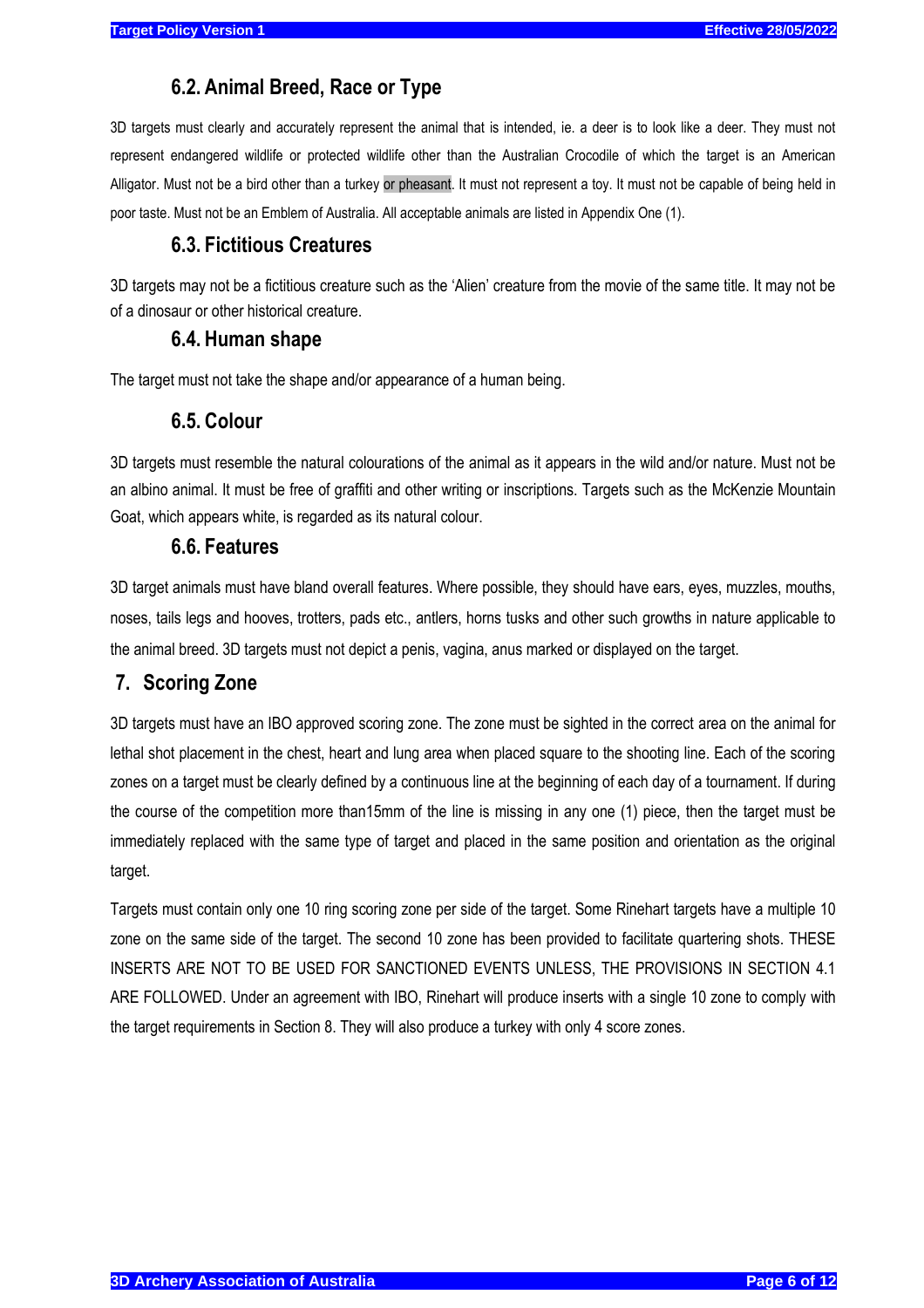# **6.2. Animal Breed, Race or Type**

<span id="page-5-0"></span>3D targets must clearly and accurately represent the animal that is intended, ie. a deer is to look like a deer. They must not represent endangered wildlife or protected wildlife other than the Australian Crocodile of which the target is an American Alligator. Must not be a bird other than a turkey or pheasant. It must not represent a toy. It must not be capable of being held in poor taste. Must not be an Emblem of Australia. All acceptable animals are listed in Appendix One (1).

# **6.3. Fictitious Creatures**

<span id="page-5-1"></span>3D targets may not be a fictitious creature such as the 'Alien' creature from the movie of the same title. It may not be of a dinosaur or other historical creature.

#### **6.4. Human shape**

<span id="page-5-3"></span><span id="page-5-2"></span>The target must not take the shape and/or appearance of a human being.

### **6.5. Colour**

3D targets must resemble the natural colourations of the animal as it appears in the wild and/or nature. Must not be an albino animal. It must be free of graffiti and other writing or inscriptions. Targets such as the McKenzie Mountain Goat, which appears white, is regarded as its natural colour.

#### **6.6. Features**

<span id="page-5-4"></span>3D target animals must have bland overall features. Where possible, they should have ears, eyes, muzzles, mouths, noses, tails legs and hooves, trotters, pads etc., antlers, horns tusks and other such growths in nature applicable to the animal breed. 3D targets must not depict a penis, vagina, anus marked or displayed on the target.

# <span id="page-5-5"></span>**7. Scoring Zone**

3D targets must have an IBO approved scoring zone. The zone must be sighted in the correct area on the animal for lethal shot placement in the chest, heart and lung area when placed square to the shooting line. Each of the scoring zones on a target must be clearly defined by a continuous line at the beginning of each day of a tournament. If during the course of the competition more than15mm of the line is missing in any one (1) piece, then the target must be immediately replaced with the same type of target and placed in the same position and orientation as the original target.

Targets must contain only one 10 ring scoring zone per side of the target. Some Rinehart targets have a multiple 10 zone on the same side of the target. The second 10 zone has been provided to facilitate quartering shots. THESE INSERTS ARE NOT TO BE USED FOR SANCTIONED EVENTS UNLESS, THE PROVISIONS IN SECTION 4.1 ARE FOLLOWED. Under an agreement with IBO, Rinehart will produce inserts with a single 10 zone to comply with the target requirements in Section 8. They will also produce a turkey with only 4 score zones.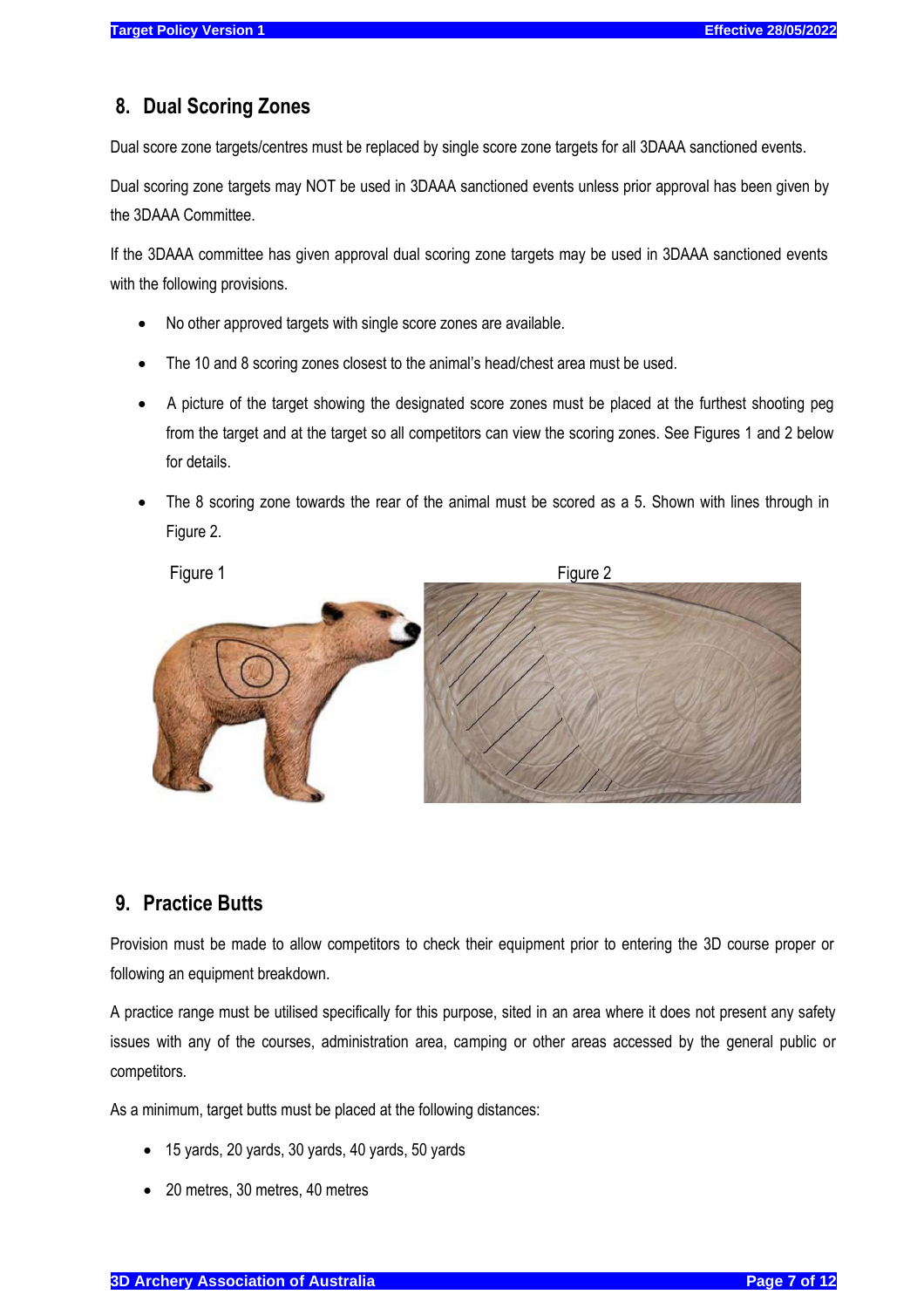# <span id="page-6-0"></span>**8. Dual Scoring Zones**

Dual score zone targets/centres must be replaced by single score zone targets for all 3DAAA sanctioned events.

Dual scoring zone targets may NOT be used in 3DAAA sanctioned events unless prior approval has been given by the 3DAAA Committee.

If the 3DAAA committee has given approval dual scoring zone targets may be used in 3DAAA sanctioned events with the following provisions.

- No other approved targets with single score zones are available.
- The 10 and 8 scoring zones closest to the animal's head/chest area must be used.
- A picture of the target showing the designated score zones must be placed at the furthest shooting peg from the target and at the target so all competitors can view the scoring zones. See Figures 1 and 2 below for details.
- The 8 scoring zone towards the rear of the animal must be scored as a 5. Shown with lines through in Figure 2.



# <span id="page-6-1"></span>**9. Practice Butts**

Provision must be made to allow competitors to check their equipment prior to entering the 3D course proper or following an equipment breakdown.

A practice range must be utilised specifically for this purpose, sited in an area where it does not present any safety issues with any of the courses, administration area, camping or other areas accessed by the general public or competitors.

As a minimum, target butts must be placed at the following distances:

- 15 yards, 20 yards, 30 yards, 40 yards, 50 yards
- 20 metres, 30 metres, 40 metres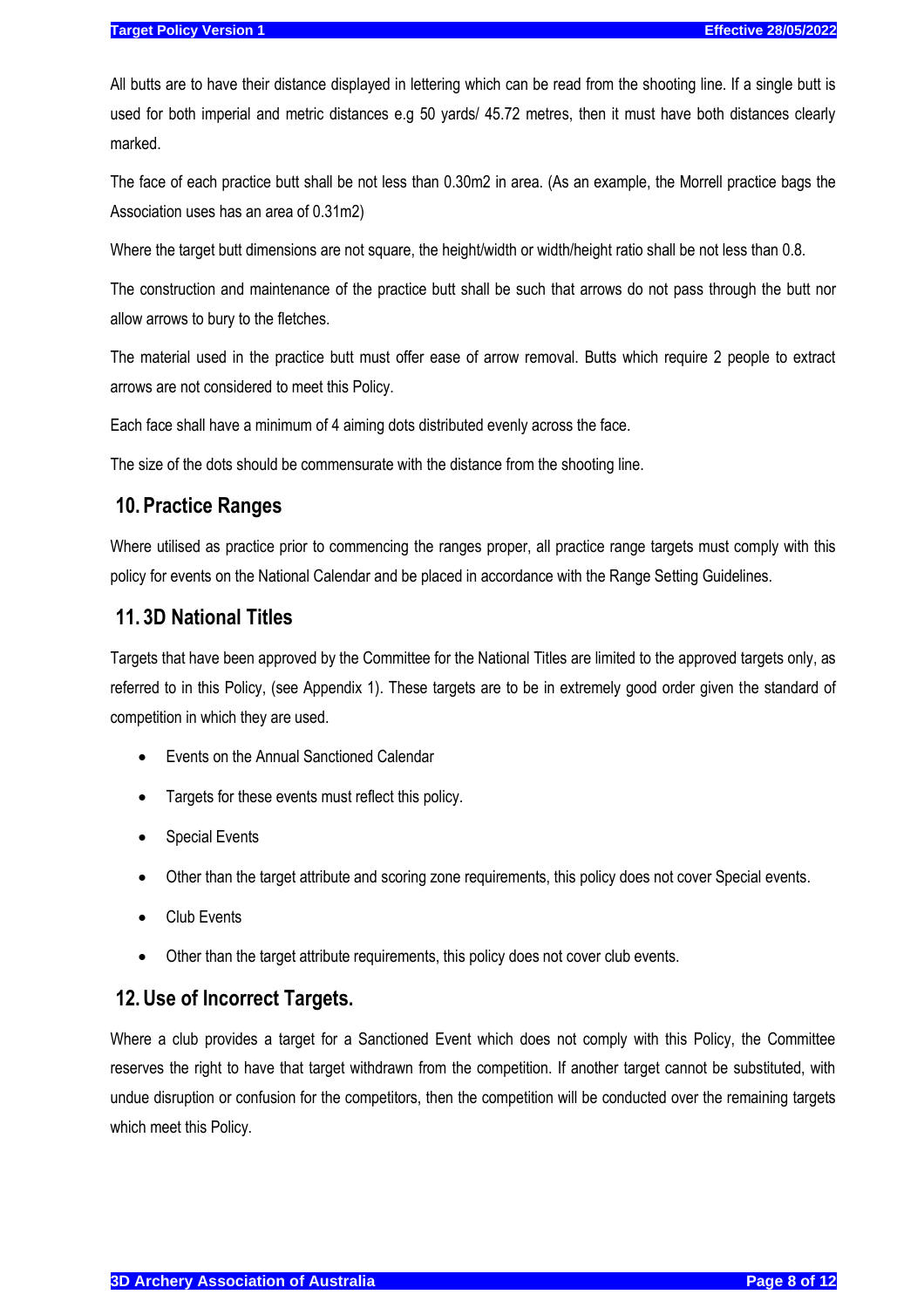All butts are to have their distance displayed in lettering which can be read from the shooting line. If a single butt is used for both imperial and metric distances e.g 50 yards/ 45.72 metres, then it must have both distances clearly marked.

The face of each practice butt shall be not less than 0.30m2 in area. (As an example, the Morrell practice bags the Association uses has an area of 0.31m2)

Where the target butt dimensions are not square, the height/width or width/height ratio shall be not less than 0.8.

The construction and maintenance of the practice butt shall be such that arrows do not pass through the butt nor allow arrows to bury to the fletches.

The material used in the practice butt must offer ease of arrow removal. Butts which require 2 people to extract arrows are not considered to meet this Policy.

Each face shall have a minimum of 4 aiming dots distributed evenly across the face.

The size of the dots should be commensurate with the distance from the shooting line.

#### <span id="page-7-0"></span>**10. Practice Ranges**

Where utilised as practice prior to commencing the ranges proper, all practice range targets must comply with this policy for events on the National Calendar and be placed in accordance with the Range Setting Guidelines.

#### <span id="page-7-1"></span>**11. 3D National Titles**

Targets that have been approved by the Committee for the National Titles are limited to the approved targets only, as referred to in this Policy, (see Appendix 1). These targets are to be in extremely good order given the standard of competition in which they are used.

- <span id="page-7-2"></span>• Events on the Annual Sanctioned Calendar
- Targets for these events must reflect this policy.
- **Special Events**
- Other than the target attribute and scoring zone requirements, this policy does not cover Special events.
- Club Events
- Other than the target attribute requirements, this policy does not cover club events.

#### <span id="page-7-3"></span>**12.Use of Incorrect Targets.**

Where a club provides a target for a Sanctioned Event which does not comply with this Policy, the Committee reserves the right to have that target withdrawn from the competition. If another target cannot be substituted, with undue disruption or confusion for the competitors, then the competition will be conducted over the remaining targets which meet this Policy.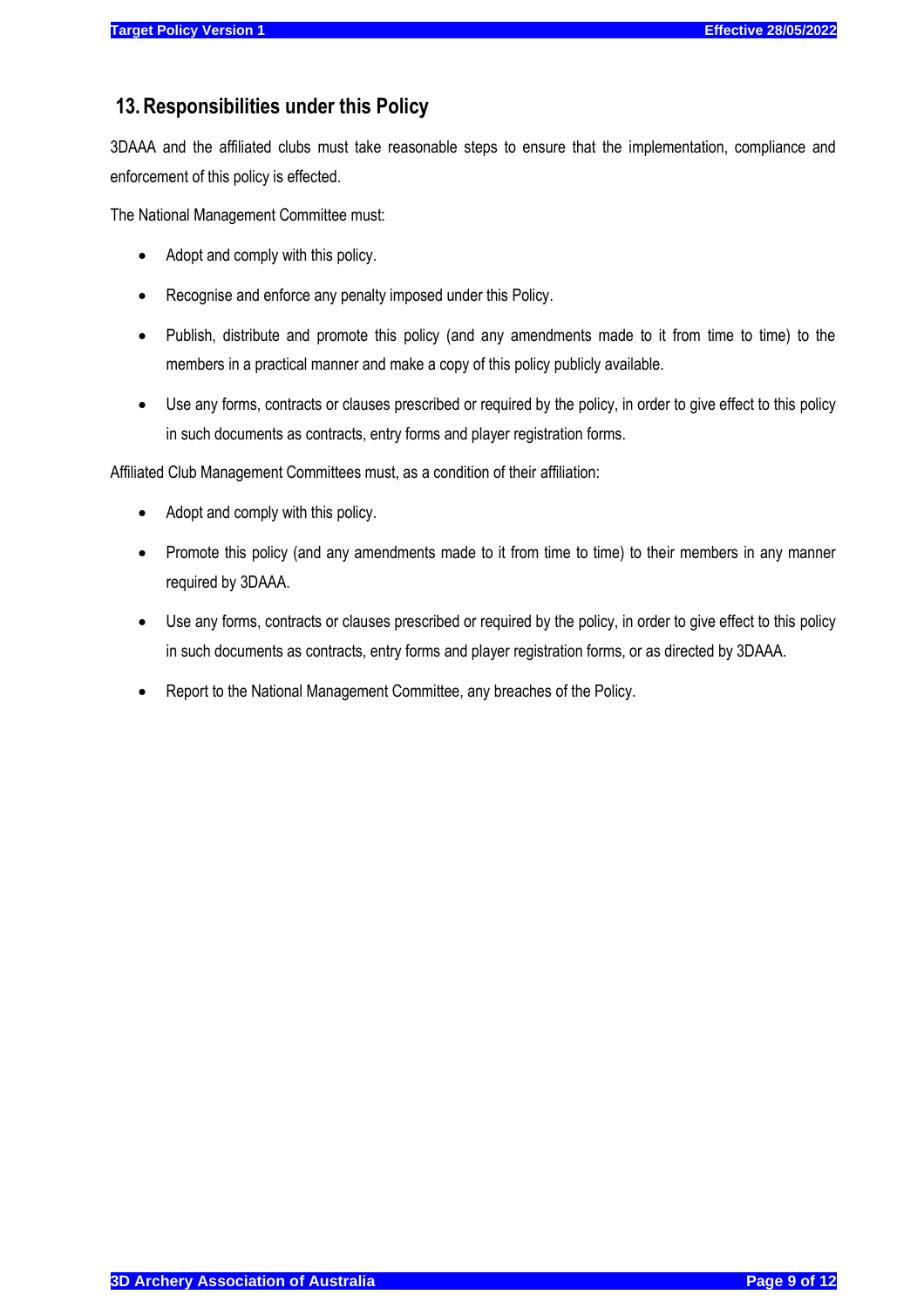# <span id="page-8-0"></span>**13.Responsibilities under this Policy**

3DAAA and the affiliated clubs must take reasonable steps to ensure that the implementation, compliance and enforcement of this policy is effected.

The National Management Committee must:

- Adopt and comply with this policy.
- Recognise and enforce any penalty imposed under this Policy.
- Publish, distribute and promote this policy (and any amendments made to it from time to time) to the members in a practical manner and make a copy of this policy publicly available.
- Use any forms, contracts or clauses prescribed or required by the policy, in order to give effect to this policy in such documents as contracts, entry forms and player registration forms.

Affiliated Club Management Committees must, as a condition of their affiliation:

- Adopt and comply with this policy.
- Promote this policy (and any amendments made to it from time to time) to their members in any manner required by 3DAAA.
- Use any forms, contracts or clauses prescribed or required by the policy, in order to give effect to this policy in such documents as contracts, entry forms and player registration forms, or as directed by 3DAAA.
- Report to the National Management Committee, any breaches of the Policy.

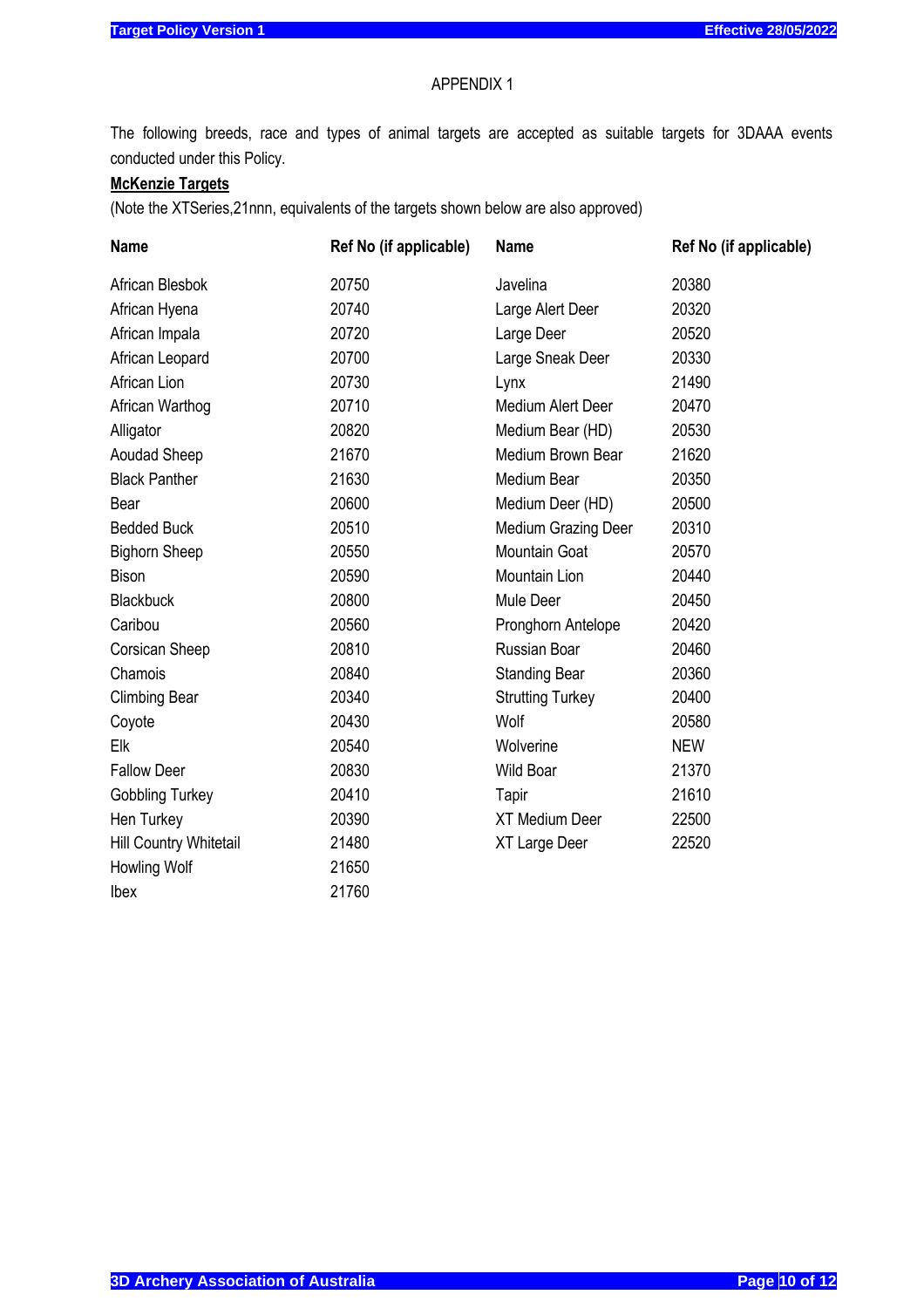#### APPENDIX 1

The following breeds, race and types of animal targets are accepted as suitable targets for 3DAAA events conducted under this Policy.

# **McKenzie Targets**

(Note the XTSeries,21nnn, equivalents of the targets shown below are also approved)

| <b>Name</b>            | Ref No (if applicable) | <b>Name</b>             | Ref No (if applicable) |
|------------------------|------------------------|-------------------------|------------------------|
| African Blesbok        | 20750                  | Javelina                | 20380                  |
| African Hyena          | 20740                  | Large Alert Deer        | 20320                  |
| African Impala         | 20720                  | Large Deer              | 20520                  |
| African Leopard        | 20700                  | Large Sneak Deer        | 20330                  |
| African Lion           | 20730                  | Lynx                    | 21490                  |
| African Warthog        | 20710                  | Medium Alert Deer       | 20470                  |
| Alligator              | 20820                  | Medium Bear (HD)        | 20530                  |
| <b>Aoudad Sheep</b>    | 21670                  | Medium Brown Bear       | 21620                  |
| <b>Black Panther</b>   | 21630                  | Medium Bear             | 20350                  |
| Bear                   | 20600                  | Medium Deer (HD)        | 20500                  |
| <b>Bedded Buck</b>     | 20510                  | Medium Grazing Deer     | 20310                  |
| <b>Bighorn Sheep</b>   | 20550                  | Mountain Goat           | 20570                  |
| <b>Bison</b>           | 20590                  | Mountain Lion           | 20440                  |
| <b>Blackbuck</b>       | 20800                  | Mule Deer               | 20450                  |
| Caribou                | 20560                  | Pronghorn Antelope      | 20420                  |
| Corsican Sheep         | 20810                  | Russian Boar            | 20460                  |
| Chamois                | 20840                  | <b>Standing Bear</b>    | 20360                  |
| <b>Climbing Bear</b>   | 20340                  | <b>Strutting Turkey</b> | 20400                  |
| Coyote                 | 20430                  | Wolf                    | 20580                  |
| Elk                    | 20540                  | Wolverine               | <b>NEW</b>             |
| <b>Fallow Deer</b>     | 20830                  | <b>Wild Boar</b>        | 21370                  |
| <b>Gobbling Turkey</b> | 20410                  | Tapir                   | 21610                  |
| Hen Turkey             | 20390                  | <b>XT Medium Deer</b>   | 22500                  |
| Hill Country Whitetail | 21480                  | XT Large Deer           | 22520                  |
| Howling Wolf           | 21650                  |                         |                        |
| <b>lbex</b>            | 21760                  |                         |                        |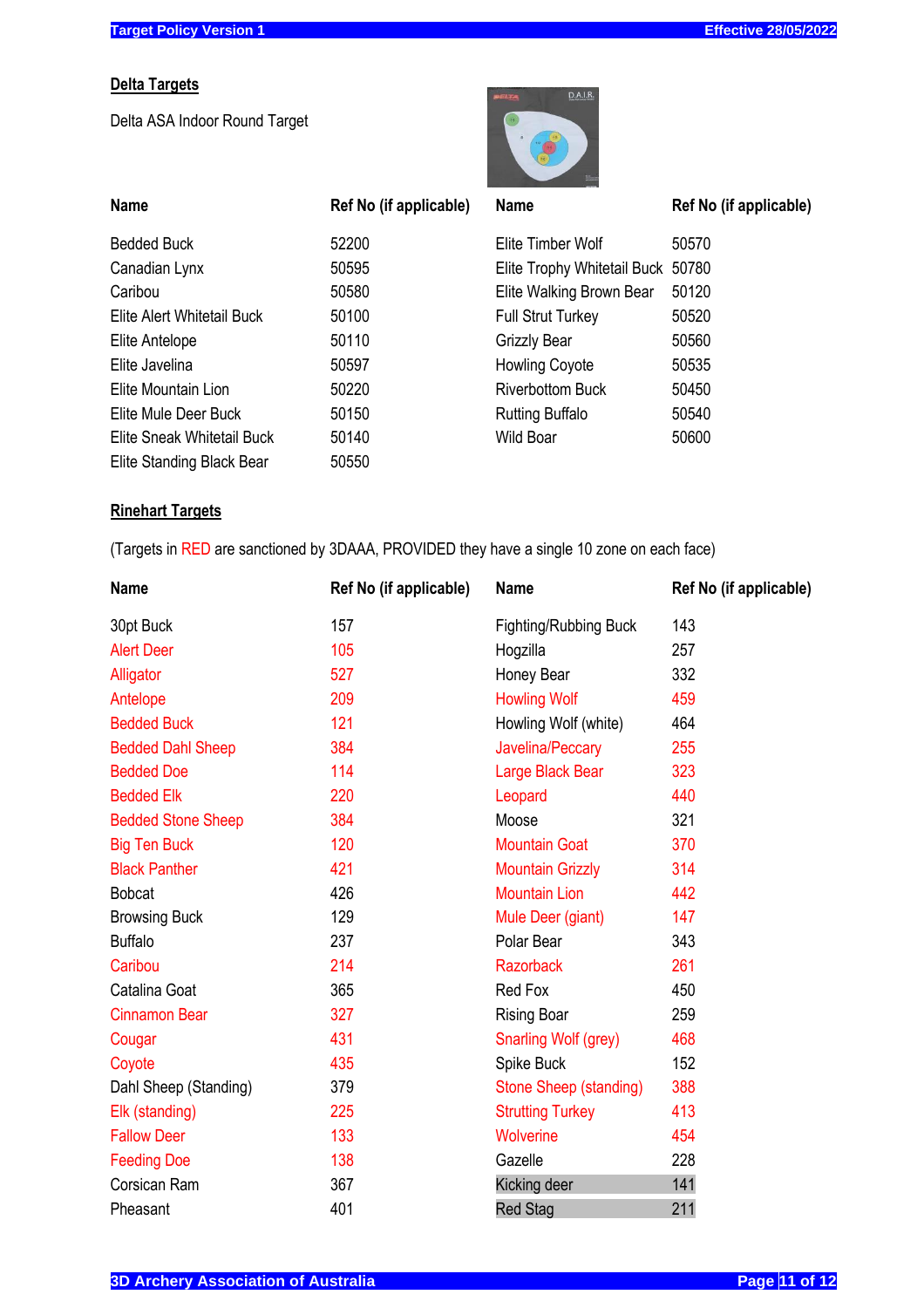#### **Delta Targets**

Delta ASA Indoor Round Target



| <b>Name</b>                | Ref No (if applicable) | <b>Name</b>                       | Ref No (if applicable) |
|----------------------------|------------------------|-----------------------------------|------------------------|
| <b>Bedded Buck</b>         | 52200                  | Elite Timber Wolf                 | 50570                  |
| Canadian Lynx              | 50595                  | Elite Trophy Whitetail Buck 50780 |                        |
| Caribou                    | 50580                  | Elite Walking Brown Bear          | 50120                  |
| Elite Alert Whitetail Buck | 50100                  | <b>Full Strut Turkey</b>          | 50520                  |
| Elite Antelope             | 50110                  | <b>Grizzly Bear</b>               | 50560                  |
| Elite Javelina             | 50597                  | <b>Howling Coyote</b>             | 50535                  |
| Elite Mountain Lion        | 50220                  | <b>Riverbottom Buck</b>           | 50450                  |
| Elite Mule Deer Buck       | 50150                  | <b>Rutting Buffalo</b>            | 50540                  |
| Elite Sneak Whitetail Buck | 50140                  | Wild Boar                         | 50600                  |
| Elite Standing Black Bear  | 50550                  |                                   |                        |

# **Rinehart Targets**

(Targets in RED are sanctioned by 3DAAA, PROVIDED they have a single 10 zone on each face)

| <b>Name</b>               | Ref No (if applicable) | <b>Name</b>                   | Ref No (if applicable) |
|---------------------------|------------------------|-------------------------------|------------------------|
| 30pt Buck                 | 157                    | <b>Fighting/Rubbing Buck</b>  | 143                    |
| <b>Alert Deer</b>         | 105                    | Hogzilla                      | 257                    |
| Alligator                 | 527                    | Honey Bear                    | 332                    |
| Antelope                  | 209                    | <b>Howling Wolf</b>           | 459                    |
| <b>Bedded Buck</b>        | 121                    | Howling Wolf (white)          | 464                    |
| <b>Bedded Dahl Sheep</b>  | 384                    | Javelina/Peccary              | 255                    |
| <b>Bedded Doe</b>         | 114                    | Large Black Bear              | 323                    |
| <b>Bedded Elk</b>         | 220                    | Leopard                       | 440                    |
| <b>Bedded Stone Sheep</b> | 384                    | Moose                         | 321                    |
| <b>Big Ten Buck</b>       | 120                    | <b>Mountain Goat</b>          | 370                    |
| <b>Black Panther</b>      | 421                    | <b>Mountain Grizzly</b>       | 314                    |
| <b>Bobcat</b>             | 426                    | <b>Mountain Lion</b>          | 442                    |
| <b>Browsing Buck</b>      | 129                    | Mule Deer (giant)             | 147                    |
| <b>Buffalo</b>            | 237                    | Polar Bear                    | 343                    |
| Caribou                   | 214                    | <b>Razorback</b>              | 261                    |
| Catalina Goat             | 365                    | Red Fox                       | 450                    |
| <b>Cinnamon Bear</b>      | 327                    | <b>Rising Boar</b>            | 259                    |
| Cougar                    | 431                    | Snarling Wolf (grey)          | 468                    |
| Coyote                    | 435                    | Spike Buck                    | 152                    |
| Dahl Sheep (Standing)     | 379                    | <b>Stone Sheep (standing)</b> | 388                    |
| Elk (standing)            | 225                    | <b>Strutting Turkey</b>       | 413                    |
| <b>Fallow Deer</b>        | 133                    | Wolverine                     | 454                    |
| <b>Feeding Doe</b>        | 138                    | Gazelle                       | 228                    |
| Corsican Ram              | 367                    | Kicking deer                  | 141                    |
| Pheasant                  | 401                    | <b>Red Stag</b>               | 211                    |